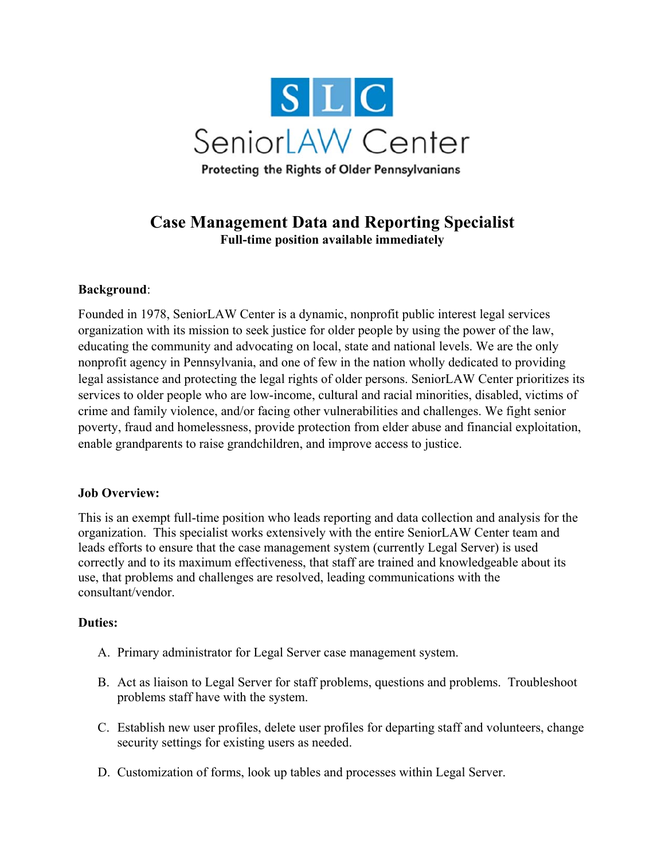

# **Case Management Data and Reporting Specialist Full-time position available immediately**

## **Background**:

Founded in 1978, SeniorLAW Center is a dynamic, nonprofit public interest legal services organization with its mission to seek justice for older people by using the power of the law, educating the community and advocating on local, state and national levels. We are the only nonprofit agency in Pennsylvania, and one of few in the nation wholly dedicated to providing legal assistance and protecting the legal rights of older persons. SeniorLAW Center prioritizes its services to older people who are low-income, cultural and racial minorities, disabled, victims of crime and family violence, and/or facing other vulnerabilities and challenges. We fight senior poverty, fraud and homelessness, provide protection from elder abuse and financial exploitation, enable grandparents to raise grandchildren, and improve access to justice.

### **Job Overview:**

This is an exempt full-time position who leads reporting and data collection and analysis for the organization. This specialist works extensively with the entire SeniorLAW Center team and leads efforts to ensure that the case management system (currently Legal Server) is used correctly and to its maximum effectiveness, that staff are trained and knowledgeable about its use, that problems and challenges are resolved, leading communications with the consultant/vendor.

### **Duties:**

- A. Primary administrator for Legal Server case management system.
- B. Act as liaison to Legal Server for staff problems, questions and problems. Troubleshoot problems staff have with the system.
- C. Establish new user profiles, delete user profiles for departing staff and volunteers, change security settings for existing users as needed.
- D. Customization of forms, look up tables and processes within Legal Server.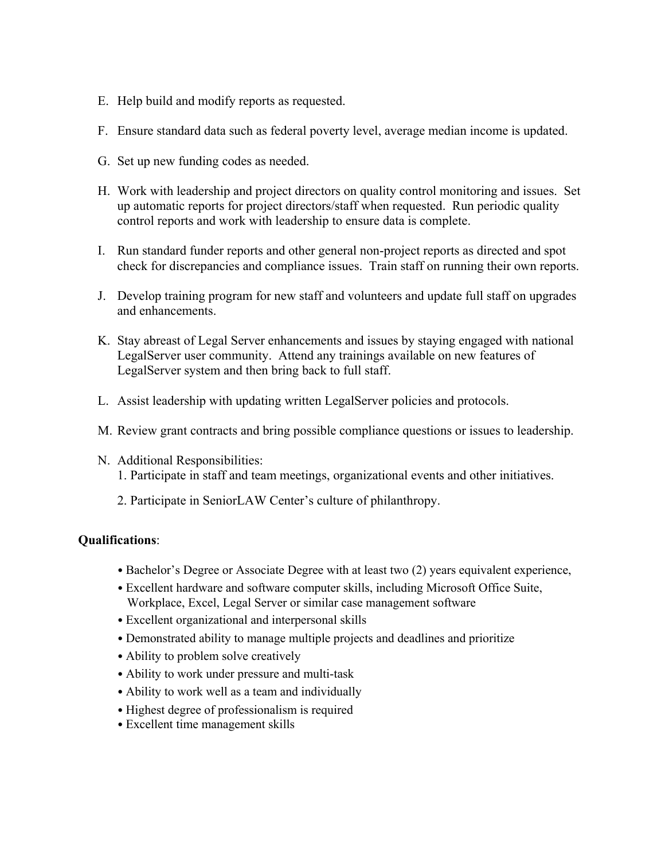- E. Help build and modify reports as requested.
- F. Ensure standard data such as federal poverty level, average median income is updated.
- G. Set up new funding codes as needed.
- H. Work with leadership and project directors on quality control monitoring and issues. Set up automatic reports for project directors/staff when requested. Run periodic quality control reports and work with leadership to ensure data is complete.
- I. Run standard funder reports and other general non-project reports as directed and spot check for discrepancies and compliance issues. Train staff on running their own reports.
- J. Develop training program for new staff and volunteers and update full staff on upgrades and enhancements.
- K. Stay abreast of Legal Server enhancements and issues by staying engaged with national LegalServer user community. Attend any trainings available on new features of LegalServer system and then bring back to full staff.
- L. Assist leadership with updating written LegalServer policies and protocols.
- M. Review grant contracts and bring possible compliance questions or issues to leadership.
- N. Additional Responsibilities: 1. Participate in staff and team meetings, organizational events and other initiatives.
	- 2. Participate in SeniorLAW Center's culture of philanthropy.

### **Qualifications**:

- Bachelor's Degree or Associate Degree with at least two (2) years equivalent experience,
- Excellent hardware and software computer skills, including Microsoft Office Suite, Workplace, Excel, Legal Server or similar case management software
- Excellent organizational and interpersonal skills
- Demonstrated ability to manage multiple projects and deadlines and prioritize
- Ability to problem solve creatively
- Ability to work under pressure and multi-task
- Ability to work well as a team and individually
- Highest degree of professionalism is required
- Excellent time management skills